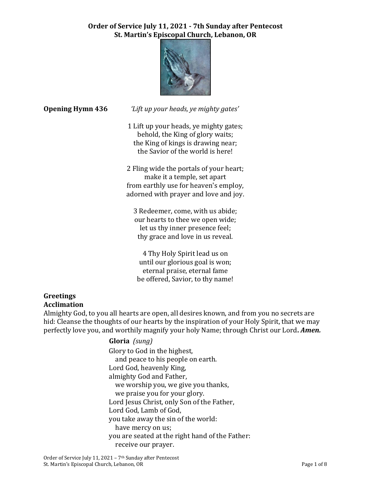# **Order of Service July 11, 2021 - 7th Sunday after Pentecost St. Martin's Episcopal Church, Lebanon, OR**



**Opening Hymn 436** *'Lift up your heads, ye mighty gates'* 

1 Lift up your heads, ye mighty gates; behold, the King of glory waits; the King of kings is drawing near; the Savior of the world is here!

2 Fling wide the portals of your heart; make it a temple, set apart from earthly use for heaven's employ, adorned with prayer and love and joy.

3 Redeemer, come, with us abide; our hearts to thee we open wide; let us thy inner presence feel; thy grace and love in us reveal.

4 Thy Holy Spirit lead us on until our glorious goal is won; eternal praise, eternal fame be offered, Savior, to thy name!

# **Greetings Acclimation**

Almighty God, to you all hearts are open, all desires known, and from you no secrets are hid: Cleanse the thoughts of our hearts by the inspiration of your Holy Spirit, that we may perfectly love you, and worthily magnify your holy Name; through Christ our Lord**.** *Amen.*

# **Gloria** *(sung)*  Glory to God in the highest,

 and peace to his people on earth. Lord God, heavenly King, almighty God and Father, we worship you, we give you thanks, we praise you for your glory. Lord Jesus Christ, only Son of the Father, Lord God, Lamb of God, you take away the sin of the world: have mercy on us; you are seated at the right hand of the Father: receive our prayer.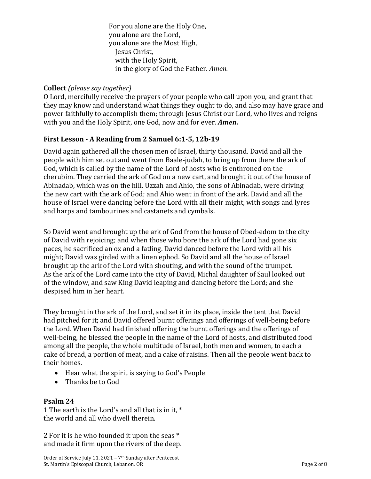For you alone are the Holy One, you alone are the Lord, you alone are the Most High, Jesus Christ, with the Holy Spirit, in the glory of God the Father. *Amen.*

# **Collect** *(please say together)*

O Lord, mercifully receive the prayers of your people who call upon you, and grant that they may know and understand what things they ought to do, and also may have grace and power faithfully to accomplish them; through Jesus Christ our Lord, who lives and reigns with you and the Holy Spirit, one God, now and for ever. *Amen.*

# **First Lesson - A Reading from 2 Samuel 6:1-5, 12b-19**

David again gathered all the chosen men of Israel, thirty thousand. David and all the people with him set out and went from Baale-judah, to bring up from there the ark of God, which is called by the name of the Lord of hosts who is enthroned on the cherubim. They carried the ark of God on a new cart, and brought it out of the house of Abinadab, which was on the hill. Uzzah and Ahio, the sons of Abinadab, were driving the new cart with the ark of God; and Ahio went in front of the ark. David and all the house of Israel were dancing before the Lord with all their might, with songs and lyres and harps and tambourines and castanets and cymbals.

So David went and brought up the ark of God from the house of Obed-edom to the city of David with rejoicing; and when those who bore the ark of the Lord had gone six paces, he sacrificed an ox and a fatling. David danced before the Lord with all his might; David was girded with a linen ephod. So David and all the house of Israel brought up the ark of the Lord with shouting, and with the sound of the trumpet. As the ark of the Lord came into the city of David, Michal daughter of Saul looked out of the window, and saw King David leaping and dancing before the Lord; and she despised him in her heart.

They brought in the ark of the Lord, and set it in its place, inside the tent that David had pitched for it; and David offered burnt offerings and offerings of well-being before the Lord. When David had finished offering the burnt offerings and the offerings of well-being, he blessed the people in the name of the Lord of hosts, and distributed food among all the people, the whole multitude of Israel, both men and women, to each a cake of bread, a portion of meat, and a cake of raisins. Then all the people went back to their homes.

- Hear what the spirit is saying to God's People
- Thanks be to God

### **Psalm 24**

1 The earth is the Lord's and all that is in it, \* the world and all who dwell therein.

2 For it is he who founded it upon the seas \* and made it firm upon the rivers of the deep.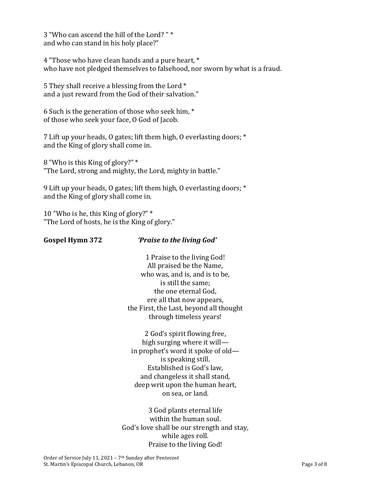3 "Who can ascend the hill of the Lord? " \* and who can stand in his holy place?"

4 "Those who have clean hands and a pure heart, \* who have not pledged themselves to falsehood, nor sworn by what is a fraud.

5 They shall receive a blessing from the Lord \* and a just reward from the God of their salvation."

6 Such is the generation of those who seek him, \* of those who seek your face, O God of Jacob.

7 Lift up your heads, O gates; lift them high, O everlasting doors; \* and the King of glory shall come in.

8 "Who is this King of glory?" \* "The Lord, strong and mighty, the Lord, mighty in battle."

9 Lift up your heads, O gates; lift them high, O everlasting doors; \* and the King of glory shall come in.

10 "Who is he, this King of glory?" \* "The Lord of hosts, he is the King of glory."

# **Gospel Hymn 372** *'Praise to the living God'*

1 Praise to the living God! All praised be the Name, who was, and is, and is to be, is still the same; the one eternal God, ere all that now appears, the First, the Last, beyond all thought through timeless years!

2 God's spirit flowing free, high surging where it will in prophet's word it spoke of old is speaking still. Established is God's law, and changeless it shall stand, deep writ upon the human heart, on sea, or land.

3 God plants eternal life within the human soul. God's love shall be our strength and stay, while ages roll. Praise to the living God!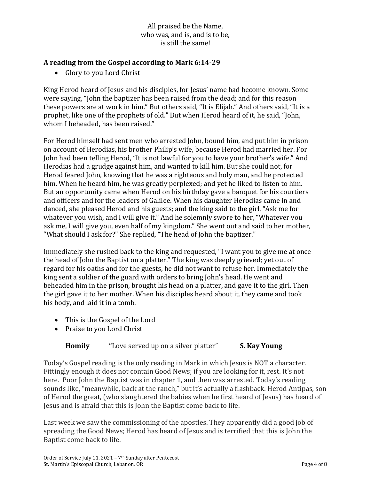# All praised be the Name, who was, and is, and is to be, is still the same!

# **A reading from the Gospel according to Mark 6:14-29**

• Glory to you Lord Christ

King Herod heard of Jesus and his disciples, for Jesus' name had become known. Some were saying, "John the baptizer has been raised from the dead; and for this reason these powers are at work in him." But others said, "It is Elijah." And others said, "It is a prophet, like one of the prophets of old." But when Herod heard of it, he said, "John, whom I beheaded, has been raised."

For Herod himself had sent men who arrested John, bound him, and put him in prison on account of Herodias, his brother Philip's wife, because Herod had married her. For John had been telling Herod, "It is not lawful for you to have your brother's wife." And Herodias had a grudge against him, and wanted to kill him. But she could not, for Herod feared John, knowing that he was a righteous and holy man, and he protected him. When he heard him, he was greatly perplexed; and yet he liked to listen to him. But an opportunity came when Herod on his birthday gave a banquet for his courtiers and officers and for the leaders of Galilee. When his daughter Herodias came in and danced, she pleased Herod and his guests; and the king said to the girl, "Ask me for whatever you wish, and I will give it." And he solemnly swore to her, "Whatever you ask me, I will give you, even half of my kingdom." She went out and said to her mother, "What should I ask for?" She replied, "The head of John the baptizer."

Immediately she rushed back to the king and requested, "I want you to give me at once the head of John the Baptist on a platter." The king was deeply grieved; yet out of regard for his oaths and for the guests, he did not want to refuse her. Immediately the king sent a soldier of the guard with orders to bring John's head. He went and beheaded him in the prison, brought his head on a platter, and gave it to the girl. Then the girl gave it to her mother. When his disciples heard about it, they came and took his body, and laid it in a tomb.

- This is the Gospel of the Lord
- Praise to you Lord Christ

### **Homily "**Love served up on a silver platter" **S. Kay Young**

Today's Gospel reading is the only reading in Mark in which Jesus is NOT a character. Fittingly enough it does not contain Good News; if you are looking for it, rest. It's not here. Poor John the Baptist was in chapter 1, and then was arrested. Today's reading sounds like, "meanwhile, back at the ranch," but it's actually a flashback. Herod Antipas, son of Herod the great, (who slaughtered the babies when he first heard of Jesus) has heard of Jesus and is afraid that this is John the Baptist come back to life.

Last week we saw the commissioning of the apostles. They apparently did a good job of spreading the Good News; Herod has heard of Jesus and is terrified that this is John the Baptist come back to life.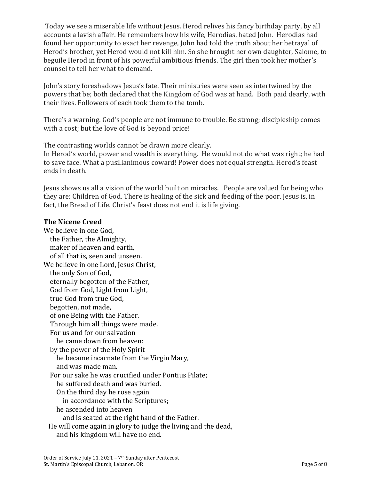Today we see a miserable life without Jesus. Herod relives his fancy birthday party, by all accounts a lavish affair. He remembers how his wife, Herodias, hated John. Herodias had found her opportunity to exact her revenge, John had told the truth about her betrayal of Herod's brother, yet Herod would not kill him. So she brought her own daughter, Salome, to beguile Herod in front of his powerful ambitious friends. The girl then took her mother's counsel to tell her what to demand.

John's story foreshadows Jesus's fate. Their ministries were seen as intertwined by the powers that be; both declared that the Kingdom of God was at hand. Both paid dearly, with their lives. Followers of each took them to the tomb.

There's a warning. God's people are not immune to trouble. Be strong; discipleship comes with a cost; but the love of God is beyond price!

The contrasting worlds cannot be drawn more clearly.

In Herod's world, power and wealth is everything. He would not do what was right; he had to save face. What a pusillanimous coward! Power does not equal strength. Herod's feast ends in death.

Jesus shows us all a vision of the world built on miracles. People are valued for being who they are: Children of God. There is healing of the sick and feeding of the poor. Jesus is, in fact, the Bread of Life. Christ's feast does not end it is life giving.

#### **The Nicene Creed**

We believe in one God, the Father, the Almighty, maker of heaven and earth, of all that is, seen and unseen. We believe in one Lord, Jesus Christ, the only Son of God, eternally begotten of the Father, God from God, Light from Light, true God from true God, begotten, not made, of one Being with the Father. Through him all things were made. For us and for our salvation he came down from heaven: by the power of the Holy Spirit he became incarnate from the Virgin Mary, and was made man. For our sake he was crucified under Pontius Pilate; he suffered death and was buried. On the third day he rose again in accordance with the Scriptures; he ascended into heaven and is seated at the right hand of the Father. He will come again in glory to judge the living and the dead, and his kingdom will have no end.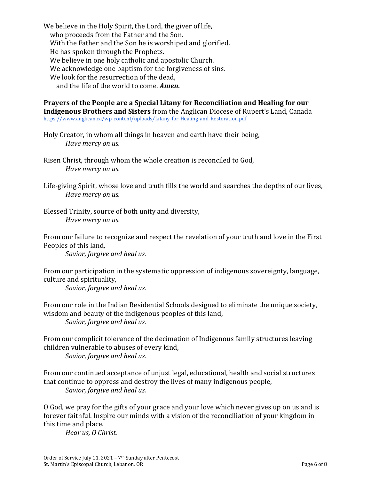We believe in the Holy Spirit, the Lord, the giver of life, who proceeds from the Father and the Son. With the Father and the Son he is worshiped and glorified. He has spoken through the Prophets. We believe in one holy catholic and apostolic Church. We acknowledge one baptism for the forgiveness of sins. We look for the resurrection of the dead, and the life of the world to come. *Amen.*

**Prayers of the People are a Special Litany for Reconciliation and Healing for our Indigenous Brothers and Sisters** from the Anglican Diocese of Rupert's Land, Canada <https://www.anglican.ca/wp-content/uploads/Litany-for-Healing-and-Restoration.pdf>

Holy Creator, in whom all things in heaven and earth have their being, *Have mercy on us.*

Risen Christ, through whom the whole creation is reconciled to God, *Have mercy on us.*

Life-giving Spirit, whose love and truth fills the world and searches the depths of our lives, *Have mercy on us.*

Blessed Trinity, source of both unity and diversity, *Have mercy on us.*

From our failure to recognize and respect the revelation of your truth and love in the First Peoples of this land,

*Savior, forgive and heal us.*

From our participation in the systematic oppression of indigenous sovereignty, language, culture and spirituality,

*Savior, forgive and heal us.*

From our role in the Indian Residential Schools designed to eliminate the unique society, wisdom and beauty of the indigenous peoples of this land, *Savior, forgive and heal us.*

From our complicit tolerance of the decimation of Indigenous family structures leaving children vulnerable to abuses of every kind, *Savior, forgive and heal us.*

From our continued acceptance of unjust legal, educational, health and social structures that continue to oppress and destroy the lives of many indigenous people, *Savior, forgive and heal us.*

O God, we pray for the gifts of your grace and your love which never gives up on us and is forever faithful. Inspire our minds with a vision of the reconciliation of your kingdom in this time and place.

*Hear us, O Christ.*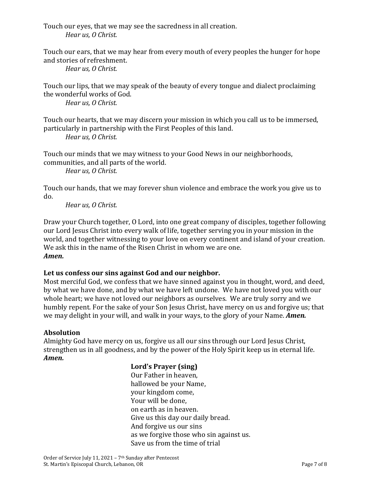Touch our eyes, that we may see the sacredness in all creation. *Hear us, O Christ.*

Touch our ears, that we may hear from every mouth of every peoples the hunger for hope and stories of refreshment.

*Hear us, O Christ.*

Touch our lips, that we may speak of the beauty of every tongue and dialect proclaiming the wonderful works of God.

*Hear us, O Christ.*

Touch our hearts, that we may discern your mission in which you call us to be immersed, particularly in partnership with the First Peoples of this land. *Hear us, O Christ.*

Touch our minds that we may witness to your Good News in our neighborhoods, communities, and all parts of the world.

*Hear us, O Christ.*

Touch our hands, that we may forever shun violence and embrace the work you give us to do.

*Hear us, O Christ.*

Draw your Church together, O Lord, into one great company of disciples, together following our Lord Jesus Christ into every walk of life, together serving you in your mission in the world, and together witnessing to your love on every continent and island of your creation. We ask this in the name of the Risen Christ in whom we are one. *Amen.*

### **Let us confess our sins against God and our neighbor.**

Most merciful God, we confess that we have sinned against you in thought, word, and deed, by what we have done, and by what we have left undone. We have not loved you with our whole heart; we have not loved our neighbors as ourselves. We are truly sorry and we humbly repent. For the sake of your Son Jesus Christ, have mercy on us and forgive us; that we may delight in your will, and walk in your ways, to the glory of your Name. *Amen.*

# **Absolution**

Almighty God have mercy on us, forgive us all our sins through our Lord Jesus Christ, strengthen us in all goodness, and by the power of the Holy Spirit keep us in eternal life. *Amen.*

> **Lord's Prayer (sing)** Our Father in heaven, hallowed be your Name, your kingdom come, Your will be done, on earth as in heaven. Give us this day our daily bread. And forgive us our sins as we forgive those who sin against us. Save us from the time of trial